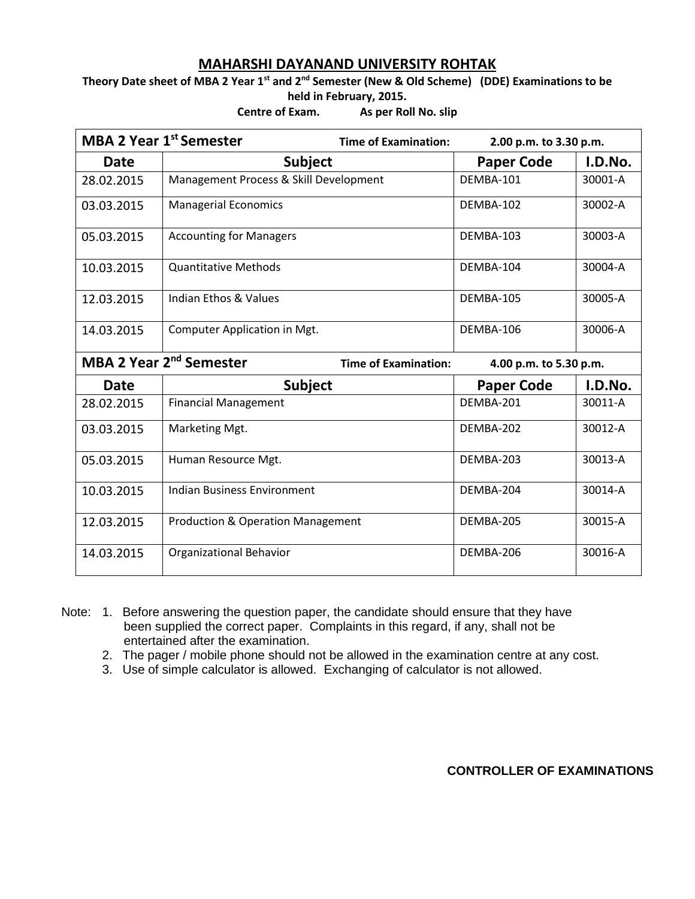## **MAHARSHI DAYANAND UNIVERSITY ROHTAK**

**Theory Date sheet of MBA 2 Year 1st and 2nd Semester (New & Old Scheme) (DDE) Examinations to be held in February, 2015.**

**Centre of Exam. As per Roll No. slip**

|                                                                    | <b>MBA 2 Year 1st Semester</b><br><b>Time of Examination:</b> | 2.00 p.m. to 3.30 p.m. |         |
|--------------------------------------------------------------------|---------------------------------------------------------------|------------------------|---------|
| <b>Date</b>                                                        | <b>Subject</b>                                                | <b>Paper Code</b>      | I.D.No. |
| 28.02.2015                                                         | Management Process & Skill Development                        | DEMBA-101              | 30001-A |
| 03.03.2015                                                         | <b>Managerial Economics</b>                                   | DEMBA-102              | 30002-A |
| 05.03.2015                                                         | <b>Accounting for Managers</b>                                | DEMBA-103              | 30003-A |
| 10.03.2015                                                         | <b>Quantitative Methods</b>                                   | DEMBA-104              | 30004-A |
| 12.03.2015                                                         | <b>Indian Ethos &amp; Values</b>                              | DEMBA-105              | 30005-A |
| 14.03.2015                                                         | Computer Application in Mgt.                                  | DEMBA-106              | 30006-A |
| MBA 2 Year 2 <sup>nd</sup> Semester<br><b>Time of Examination:</b> |                                                               | 4.00 p.m. to 5.30 p.m. |         |
| <b>Date</b>                                                        | <b>Subject</b>                                                | <b>Paper Code</b>      | I.D.No. |
| 28.02.2015                                                         | <b>Financial Management</b>                                   | DEMBA-201              | 30011-A |
| 03.03.2015                                                         | Marketing Mgt.                                                | DEMBA-202              | 30012-A |
| 05.03.2015                                                         | Human Resource Mgt.                                           | DEMBA-203              | 30013-A |
| 10.03.2015                                                         | <b>Indian Business Environment</b>                            | DEMBA-204              | 30014-A |
| 12.03.2015                                                         | <b>Production &amp; Operation Management</b>                  | DEMBA-205              | 30015-A |
| 14.03.2015                                                         | <b>Organizational Behavior</b>                                | DEMBA-206              | 30016-A |

Note: 1. Before answering the question paper, the candidate should ensure that they have been supplied the correct paper. Complaints in this regard, if any, shall not be entertained after the examination.

2. The pager / mobile phone should not be allowed in the examination centre at any cost.

3. Use of simple calculator is allowed. Exchanging of calculator is not allowed.

**CONTROLLER OF EXAMINATIONS**